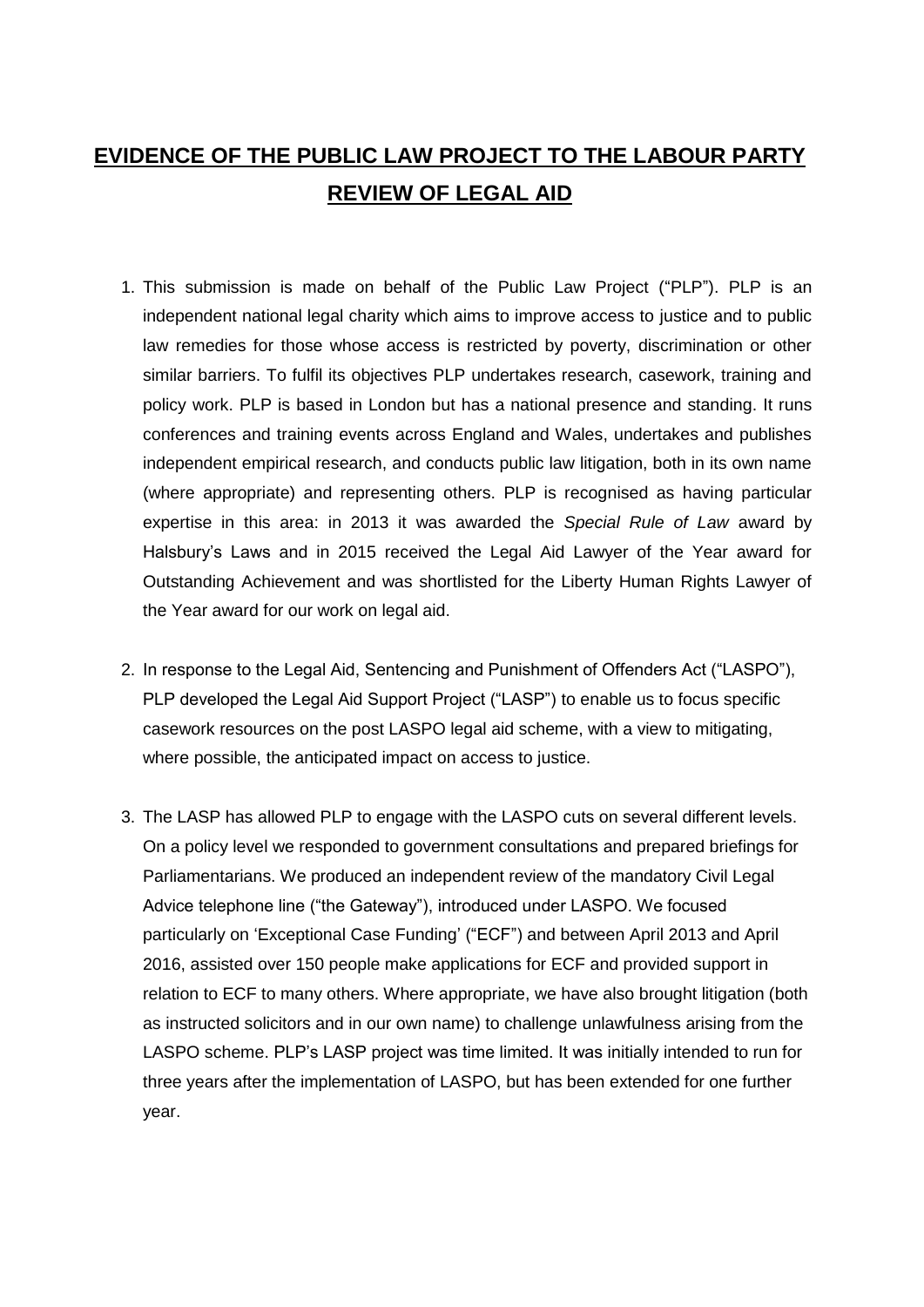# **EVIDENCE OF THE PUBLIC LAW PROJECT TO THE LABOUR PARTY REVIEW OF LEGAL AID**

- 1. This submission is made on behalf of the Public Law Project ("PLP"). PLP is an independent national legal charity which aims to improve access to justice and to public law remedies for those whose access is restricted by poverty, discrimination or other similar barriers. To fulfil its objectives PLP undertakes research, casework, training and policy work. PLP is based in London but has a national presence and standing. It runs conferences and training events across England and Wales, undertakes and publishes independent empirical research, and conducts public law litigation, both in its own name (where appropriate) and representing others. PLP is recognised as having particular expertise in this area: in 2013 it was awarded the *Special Rule of Law* award by Halsbury's Laws and in 2015 received the Legal Aid Lawyer of the Year award for Outstanding Achievement and was shortlisted for the Liberty Human Rights Lawyer of the Year award for our work on legal aid.
- 2. In response to the Legal Aid, Sentencing and Punishment of Offenders Act ("LASPO"), PLP developed the Legal Aid Support Project ("LASP") to enable us to focus specific casework resources on the post LASPO legal aid scheme, with a view to mitigating, where possible, the anticipated impact on access to justice.
- 3. The LASP has allowed PLP to engage with the LASPO cuts on several different levels. On a policy level we responded to government consultations and prepared briefings for Parliamentarians. We produced an independent review of the mandatory Civil Legal Advice telephone line ("the Gateway"), introduced under LASPO. We focused particularly on 'Exceptional Case Funding' ("ECF") and between April 2013 and April 2016, assisted over 150 people make applications for ECF and provided support in relation to ECF to many others. Where appropriate, we have also brought litigation (both as instructed solicitors and in our own name) to challenge unlawfulness arising from the LASPO scheme. PLP's LASP project was time limited. It was initially intended to run for three years after the implementation of LASPO, but has been extended for one further year.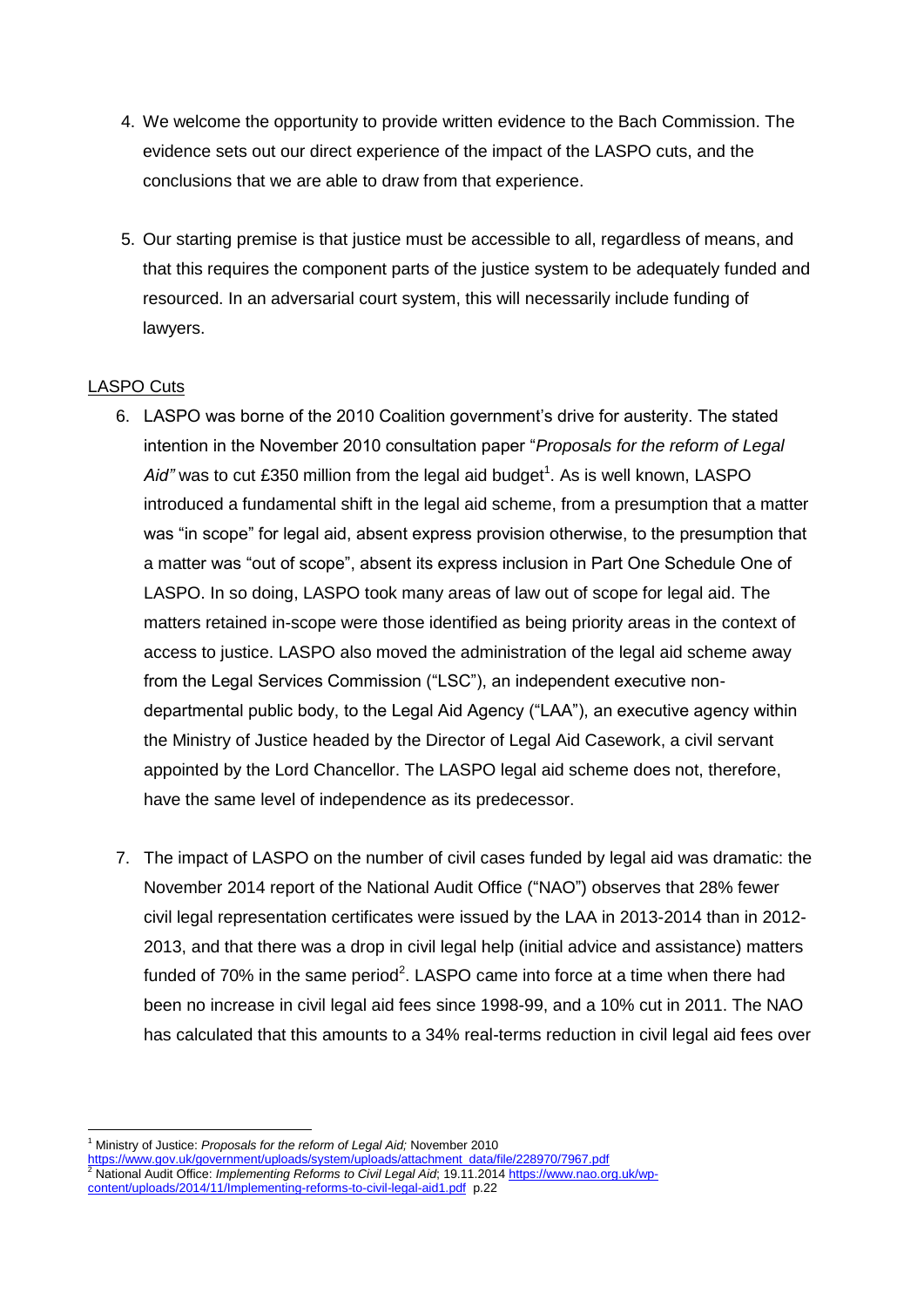- 4. We welcome the opportunity to provide written evidence to the Bach Commission. The evidence sets out our direct experience of the impact of the LASPO cuts, and the conclusions that we are able to draw from that experience.
- 5. Our starting premise is that justice must be accessible to all, regardless of means, and that this requires the component parts of the justice system to be adequately funded and resourced. In an adversarial court system, this will necessarily include funding of lawyers.

# LASPO Cuts

- 6. LASPO was borne of the 2010 Coalition government's drive for austerity. The stated intention in the November 2010 consultation paper "*Proposals for the reform of Legal*  Aid" was to cut £350 million from the legal aid budget<sup>1</sup>. As is well known, LASPO introduced a fundamental shift in the legal aid scheme, from a presumption that a matter was "in scope" for legal aid, absent express provision otherwise, to the presumption that a matter was "out of scope", absent its express inclusion in Part One Schedule One of LASPO. In so doing, LASPO took many areas of law out of scope for legal aid. The matters retained in-scope were those identified as being priority areas in the context of access to justice. LASPO also moved the administration of the legal aid scheme away from the Legal Services Commission ("LSC"), an independent executive nondepartmental public body, to the Legal Aid Agency ("LAA"), an executive agency within the Ministry of Justice headed by the Director of Legal Aid Casework, a civil servant appointed by the Lord Chancellor. The LASPO legal aid scheme does not, therefore, have the same level of independence as its predecessor.
- 7. The impact of LASPO on the number of civil cases funded by legal aid was dramatic: the November 2014 report of the National Audit Office ("NAO") observes that 28% fewer civil legal representation certificates were issued by the LAA in 2013-2014 than in 2012- 2013, and that there was a drop in civil legal help (initial advice and assistance) matters funded of 70% in the same period<sup>2</sup>. LASPO came into force at a time when there had been no increase in civil legal aid fees since 1998-99, and a 10% cut in 2011. The NAO has calculated that this amounts to a 34% real-terms reduction in civil legal aid fees over

[https://www.gov.uk/government/uploads/system/uploads/attachment\\_data/file/228970/7967.pdf](https://www.gov.uk/government/uploads/system/uploads/attachment_data/file/228970/7967.pdf) <sup>2</sup> National Audit Office: *Implementing Reforms to Civil Legal Aid*; 19.11.2014 [https://www.nao.org.uk/wp-](https://www.nao.org.uk/wp-content/uploads/2014/11/Implementing-reforms-to-civil-legal-aid1.pdf)

**<sup>.</sup>** <sup>1</sup> Ministry of Justice: *Proposals for the reform of Legal Aid;* November 2010

[content/uploads/2014/11/Implementing-reforms-to-civil-legal-aid1.pdf](https://www.nao.org.uk/wp-content/uploads/2014/11/Implementing-reforms-to-civil-legal-aid1.pdf) p.22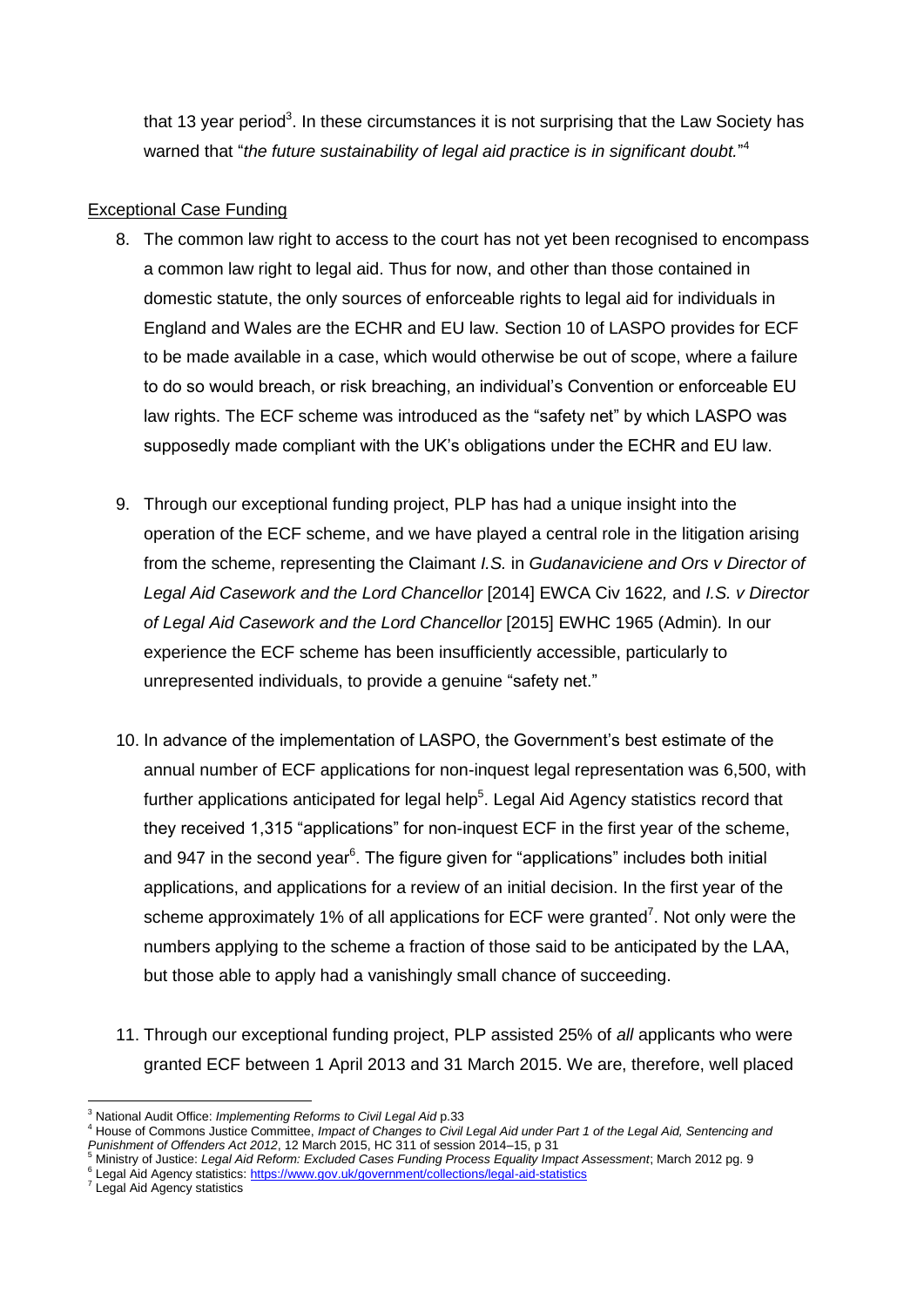that 13 year period<sup>3</sup>. In these circumstances it is not surprising that the Law Society has warned that "*the future sustainability of legal aid practice is in significant doubt.*" 4

# Exceptional Case Funding

- 8. The common law right to access to the court has not yet been recognised to encompass a common law right to legal aid. Thus for now, and other than those contained in domestic statute, the only sources of enforceable rights to legal aid for individuals in England and Wales are the ECHR and EU law. Section 10 of LASPO provides for ECF to be made available in a case, which would otherwise be out of scope, where a failure to do so would breach, or risk breaching, an individual's Convention or enforceable EU law rights. The ECF scheme was introduced as the "safety net" by which LASPO was supposedly made compliant with the UK's obligations under the ECHR and EU law.
- 9. Through our exceptional funding project, PLP has had a unique insight into the operation of the ECF scheme, and we have played a central role in the litigation arising from the scheme, representing the Claimant *I.S.* in *Gudanaviciene and Ors v Director of Legal Aid Casework and the Lord Chancellor* [2014] EWCA Civ 1622*,* and *I.S. v Director of Legal Aid Casework and the Lord Chancellor* [2015] EWHC 1965 (Admin)*.* In our experience the ECF scheme has been insufficiently accessible, particularly to unrepresented individuals, to provide a genuine "safety net."
- 10. In advance of the implementation of LASPO, the Government's best estimate of the annual number of ECF applications for non-inquest legal representation was 6,500, with further applications anticipated for legal help<sup>5</sup>. Legal Aid Agency statistics record that they received 1,315 "applications" for non-inquest ECF in the first year of the scheme, and 947 in the second year $6$ . The figure given for "applications" includes both initial applications, and applications for a review of an initial decision. In the first year of the scheme approximately 1% of all applications for ECF were granted<sup>7</sup>. Not only were the numbers applying to the scheme a fraction of those said to be anticipated by the LAA, but those able to apply had a vanishingly small chance of succeeding.
- 11. Through our exceptional funding project, PLP assisted 25% of *all* applicants who were granted ECF between 1 April 2013 and 31 March 2015. We are, therefore, well placed

<sup>1</sup> <sup>3</sup> National Audit Office: *Implementing Reforms to Civil Legal Aid* p.33

<sup>4</sup> House of Commons Justice Committee, *Impact of Changes to Civil Legal Aid under Part 1 of the Legal Aid, Sentencing and Punishment of Offenders Act 2012*, 12 March 2015, HC 311 of session 2014–15, p 31

<sup>5</sup> Ministry of Justice: *Legal Aid Reform: Excluded Cases Funding Process Equality Impact Assessment*; March 2012 pg. 9 <sup>6</sup> Legal Aid Agency statistics:<https://www.gov.uk/government/collections/legal-aid-statistics>

<sup>7</sup> Legal Aid Agency statistics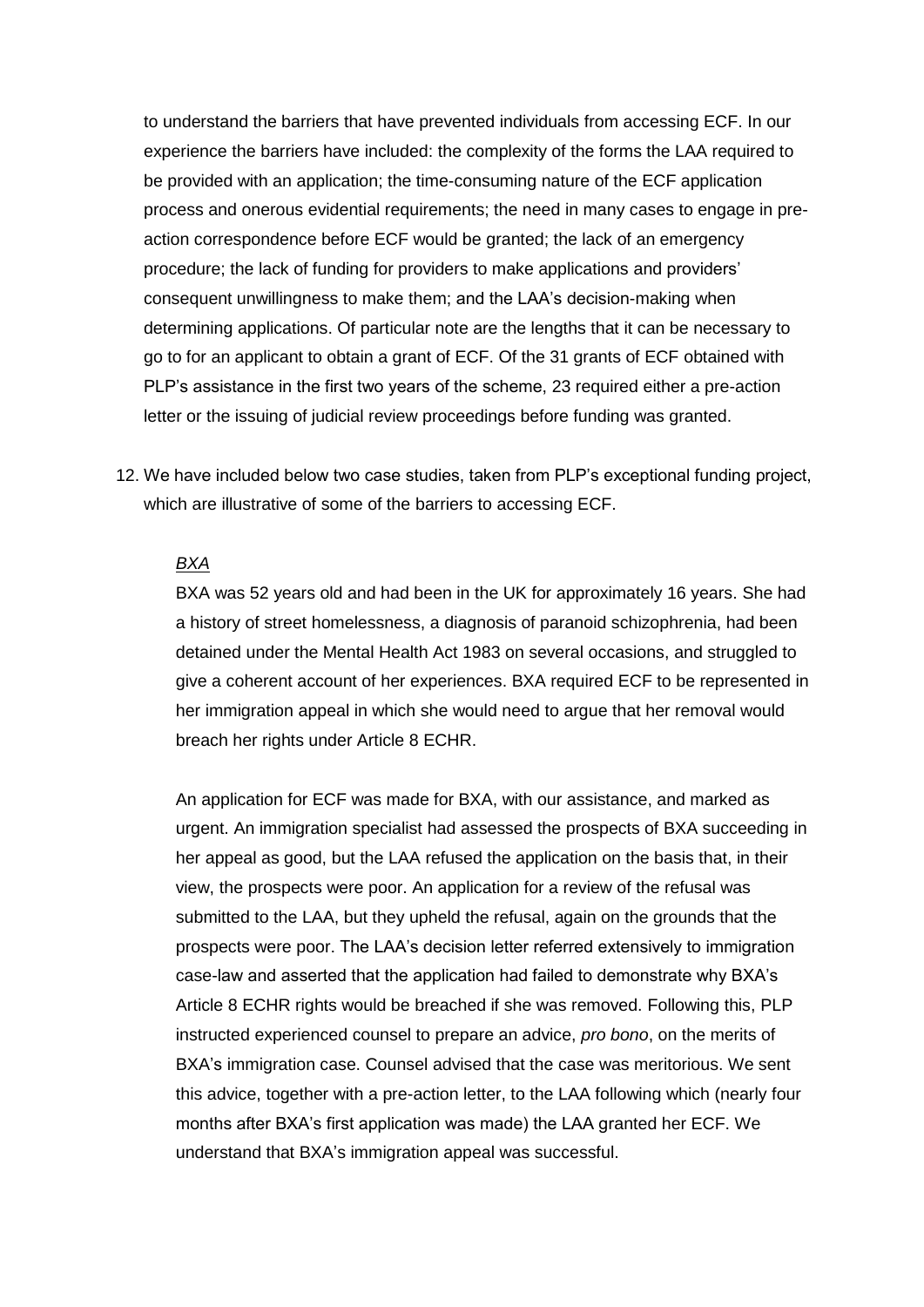to understand the barriers that have prevented individuals from accessing ECF. In our experience the barriers have included: the complexity of the forms the LAA required to be provided with an application; the time-consuming nature of the ECF application process and onerous evidential requirements; the need in many cases to engage in preaction correspondence before ECF would be granted; the lack of an emergency procedure; the lack of funding for providers to make applications and providers' consequent unwillingness to make them; and the LAA's decision-making when determining applications. Of particular note are the lengths that it can be necessary to go to for an applicant to obtain a grant of ECF. Of the 31 grants of ECF obtained with PLP's assistance in the first two years of the scheme, 23 required either a pre-action letter or the issuing of judicial review proceedings before funding was granted.

12. We have included below two case studies, taken from PLP's exceptional funding project, which are illustrative of some of the barriers to accessing ECF.

#### *BXA*

BXA was 52 years old and had been in the UK for approximately 16 years. She had a history of street homelessness, a diagnosis of paranoid schizophrenia, had been detained under the Mental Health Act 1983 on several occasions, and struggled to give a coherent account of her experiences. BXA required ECF to be represented in her immigration appeal in which she would need to argue that her removal would breach her rights under Article 8 ECHR.

An application for ECF was made for BXA, with our assistance, and marked as urgent. An immigration specialist had assessed the prospects of BXA succeeding in her appeal as good, but the LAA refused the application on the basis that, in their view, the prospects were poor. An application for a review of the refusal was submitted to the LAA, but they upheld the refusal, again on the grounds that the prospects were poor. The LAA's decision letter referred extensively to immigration case-law and asserted that the application had failed to demonstrate why BXA's Article 8 ECHR rights would be breached if she was removed. Following this, PLP instructed experienced counsel to prepare an advice, *pro bono*, on the merits of BXA's immigration case. Counsel advised that the case was meritorious. We sent this advice, together with a pre-action letter, to the LAA following which (nearly four months after BXA's first application was made) the LAA granted her ECF. We understand that BXA's immigration appeal was successful.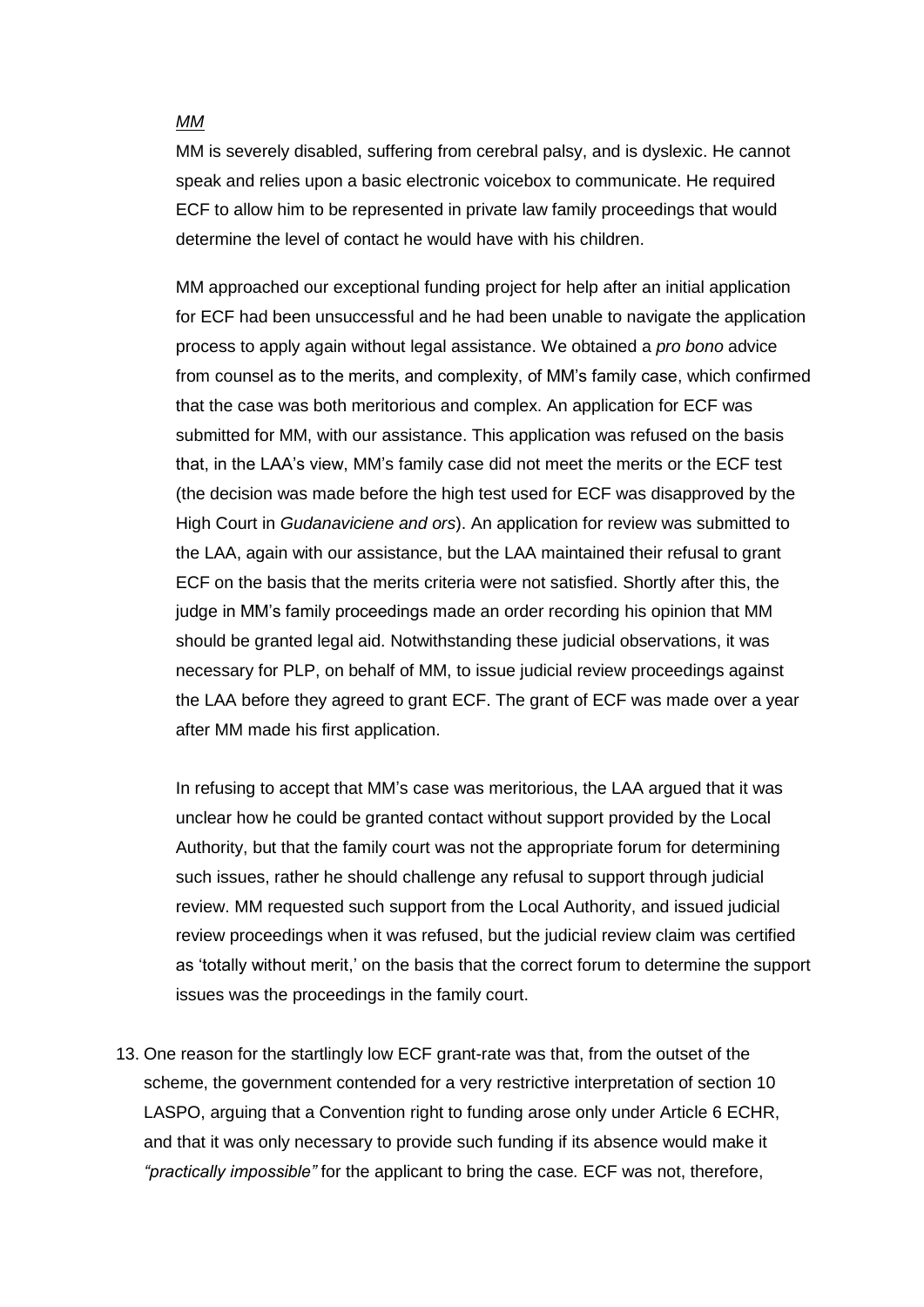#### *MM*

MM is severely disabled, suffering from cerebral palsy, and is dyslexic. He cannot speak and relies upon a basic electronic voicebox to communicate. He required ECF to allow him to be represented in private law family proceedings that would determine the level of contact he would have with his children.

MM approached our exceptional funding project for help after an initial application for ECF had been unsuccessful and he had been unable to navigate the application process to apply again without legal assistance. We obtained a *pro bono* advice from counsel as to the merits, and complexity, of MM's family case, which confirmed that the case was both meritorious and complex. An application for ECF was submitted for MM, with our assistance. This application was refused on the basis that, in the LAA's view, MM's family case did not meet the merits or the ECF test (the decision was made before the high test used for ECF was disapproved by the High Court in *Gudanaviciene and ors*). An application for review was submitted to the LAA, again with our assistance, but the LAA maintained their refusal to grant ECF on the basis that the merits criteria were not satisfied. Shortly after this, the judge in MM's family proceedings made an order recording his opinion that MM should be granted legal aid. Notwithstanding these judicial observations, it was necessary for PLP, on behalf of MM, to issue judicial review proceedings against the LAA before they agreed to grant ECF. The grant of ECF was made over a year after MM made his first application.

In refusing to accept that MM's case was meritorious, the LAA argued that it was unclear how he could be granted contact without support provided by the Local Authority, but that the family court was not the appropriate forum for determining such issues, rather he should challenge any refusal to support through judicial review. MM requested such support from the Local Authority, and issued judicial review proceedings when it was refused, but the judicial review claim was certified as 'totally without merit,' on the basis that the correct forum to determine the support issues was the proceedings in the family court.

13. One reason for the startlingly low ECF grant-rate was that, from the outset of the scheme, the government contended for a very restrictive interpretation of section 10 LASPO, arguing that a Convention right to funding arose only under Article 6 ECHR, and that it was only necessary to provide such funding if its absence would make it *"practically impossible"* for the applicant to bring the case*.* ECF was not, therefore,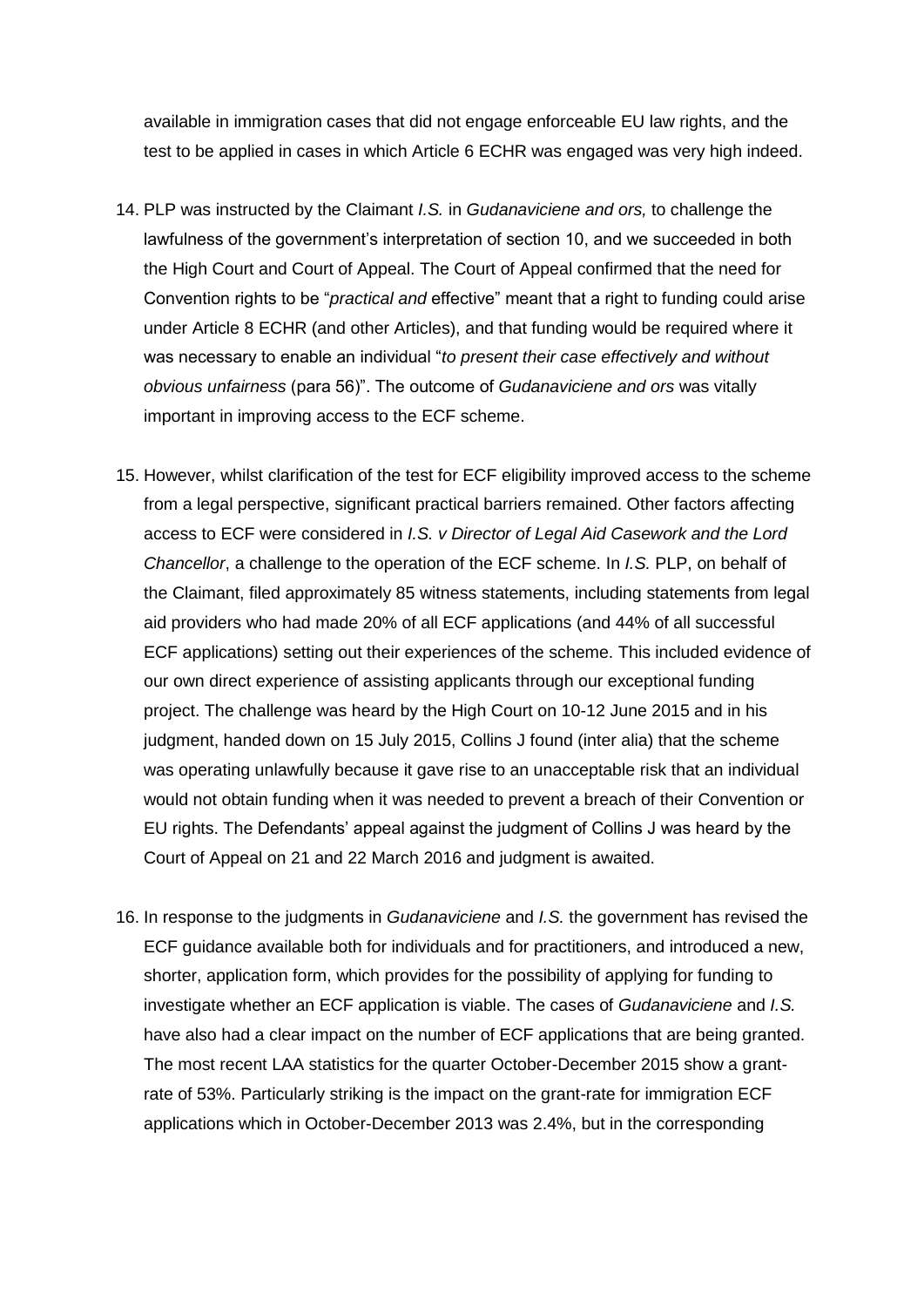available in immigration cases that did not engage enforceable EU law rights, and the test to be applied in cases in which Article 6 ECHR was engaged was very high indeed.

- 14. PLP was instructed by the Claimant *I.S.* in *Gudanaviciene and ors,* to challenge the lawfulness of the government's interpretation of section 10, and we succeeded in both the High Court and Court of Appeal. The Court of Appeal confirmed that the need for Convention rights to be "*practical and* effective" meant that a right to funding could arise under Article 8 ECHR (and other Articles), and that funding would be required where it was necessary to enable an individual "*to present their case effectively and without obvious unfairness* (para 56)". The outcome of *Gudanaviciene and ors* was vitally important in improving access to the ECF scheme.
- 15. However, whilst clarification of the test for ECF eligibility improved access to the scheme from a legal perspective, significant practical barriers remained. Other factors affecting access to ECF were considered in *I.S. v Director of Legal Aid Casework and the Lord Chancellor*, a challenge to the operation of the ECF scheme. In *I.S.* PLP, on behalf of the Claimant, filed approximately 85 witness statements, including statements from legal aid providers who had made 20% of all ECF applications (and 44% of all successful ECF applications) setting out their experiences of the scheme. This included evidence of our own direct experience of assisting applicants through our exceptional funding project. The challenge was heard by the High Court on 10-12 June 2015 and in his judgment, handed down on 15 July 2015, Collins J found (inter alia) that the scheme was operating unlawfully because it gave rise to an unacceptable risk that an individual would not obtain funding when it was needed to prevent a breach of their Convention or EU rights. The Defendants' appeal against the judgment of Collins J was heard by the Court of Appeal on 21 and 22 March 2016 and judgment is awaited.
- 16. In response to the judgments in *Gudanaviciene* and *I.S.* the government has revised the ECF guidance available both for individuals and for practitioners, and introduced a new, shorter, application form, which provides for the possibility of applying for funding to investigate whether an ECF application is viable. The cases of *Gudanaviciene* and *I.S.*  have also had a clear impact on the number of ECF applications that are being granted. The most recent LAA statistics for the quarter October-December 2015 show a grantrate of 53%. Particularly striking is the impact on the grant-rate for immigration ECF applications which in October-December 2013 was 2.4%, but in the corresponding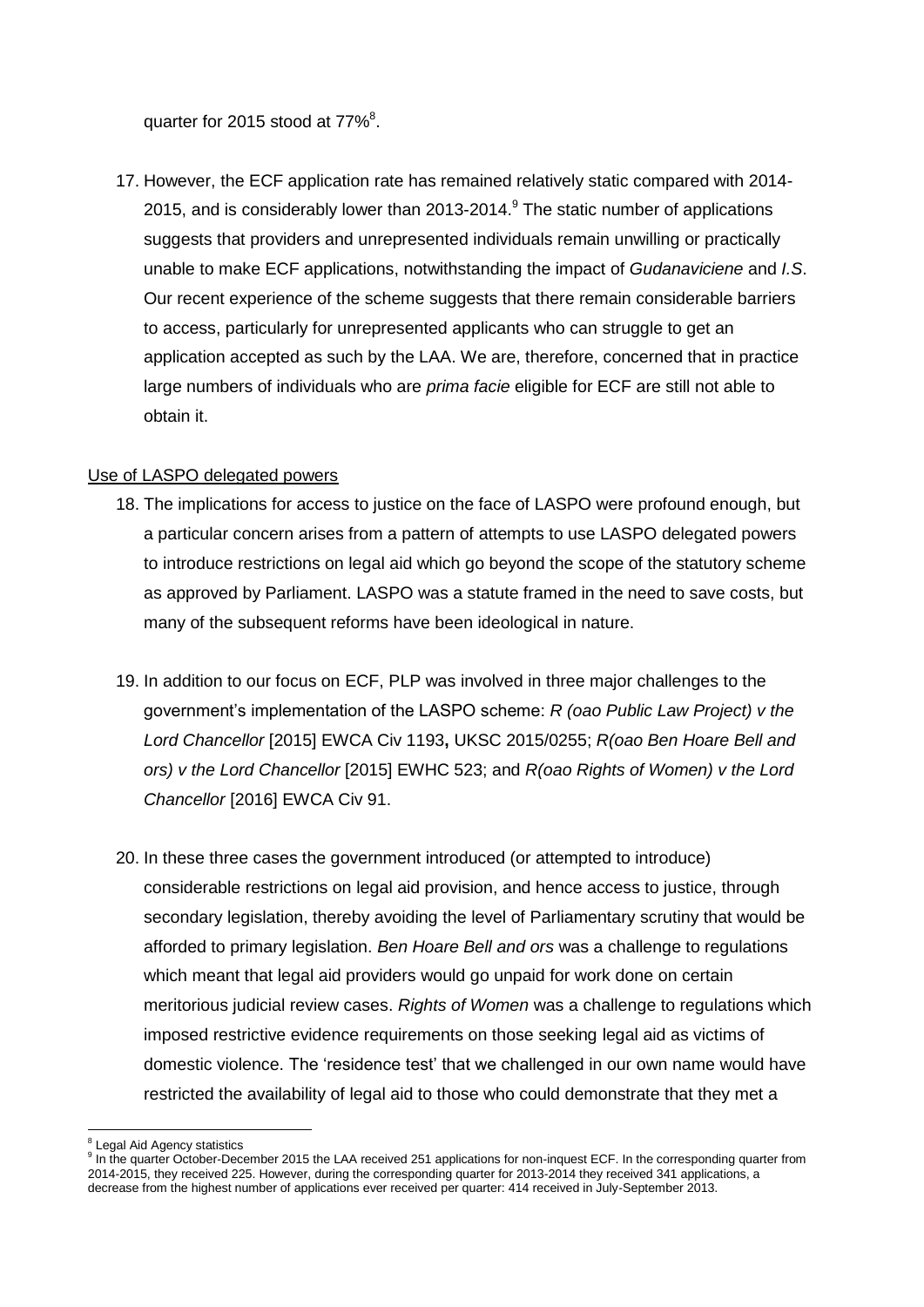quarter for 2015 stood at  $77\%$ <sup>8</sup>.

17. However, the ECF application rate has remained relatively static compared with 2014- 2015, and is considerably lower than 2013-2014. $9$  The static number of applications suggests that providers and unrepresented individuals remain unwilling or practically unable to make ECF applications, notwithstanding the impact of *Gudanaviciene* and *I.S*. Our recent experience of the scheme suggests that there remain considerable barriers to access, particularly for unrepresented applicants who can struggle to get an application accepted as such by the LAA. We are, therefore, concerned that in practice large numbers of individuals who are *prima facie* eligible for ECF are still not able to obtain it.

# Use of LASPO delegated powers

- 18. The implications for access to justice on the face of LASPO were profound enough, but a particular concern arises from a pattern of attempts to use LASPO delegated powers to introduce restrictions on legal aid which go beyond the scope of the statutory scheme as approved by Parliament. LASPO was a statute framed in the need to save costs, but many of the subsequent reforms have been ideological in nature.
- 19. In addition to our focus on ECF, PLP was involved in three major challenges to the government's implementation of the LASPO scheme: *R (oao Public Law Project) v the Lord Chancellor* [2015] EWCA Civ 1193**,** UKSC 2015/0255; *R(oao Ben Hoare Bell and ors) v the Lord Chancellor* [2015] EWHC 523; and *R(oao Rights of Women) v the Lord Chancellor* [2016] EWCA Civ 91.
- 20. In these three cases the government introduced (or attempted to introduce) considerable restrictions on legal aid provision, and hence access to justice, through secondary legislation, thereby avoiding the level of Parliamentary scrutiny that would be afforded to primary legislation. *Ben Hoare Bell and ors* was a challenge to regulations which meant that legal aid providers would go unpaid for work done on certain meritorious judicial review cases. *Rights of Women* was a challenge to regulations which imposed restrictive evidence requirements on those seeking legal aid as victims of domestic violence. The 'residence test' that we challenged in our own name would have restricted the availability of legal aid to those who could demonstrate that they met a

**<sup>.</sup>** 8 Legal Aid Agency statistics

<sup>&</sup>lt;sup>9</sup> In the quarter October-December 2015 the LAA received 251 applications for non-inquest ECF. In the corresponding quarter from 2014-2015, they received 225. However, during the corresponding quarter for 2013-2014 they received 341 applications, a decrease from the highest number of applications ever received per quarter: 414 received in July-September 2013.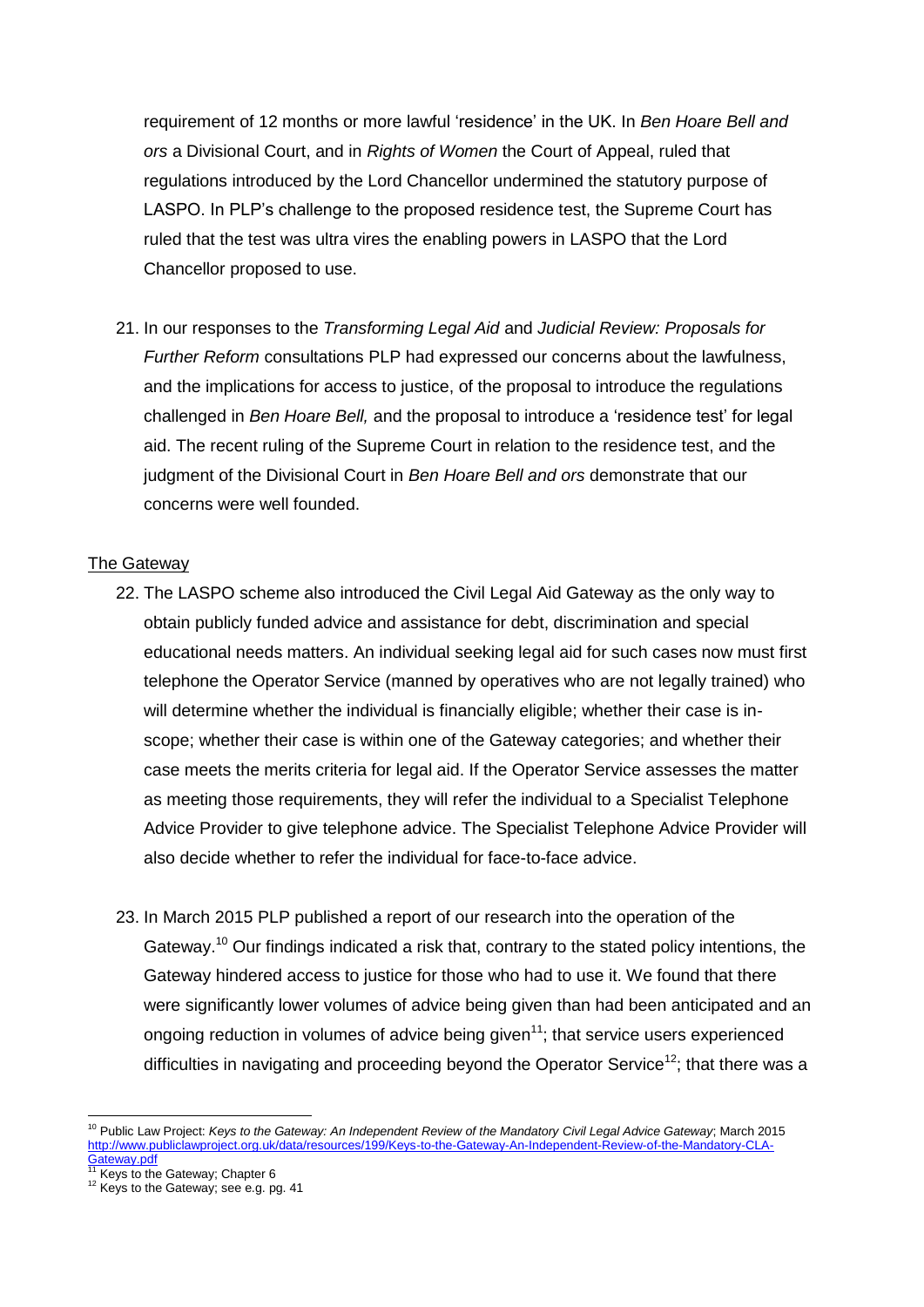requirement of 12 months or more lawful 'residence' in the UK. In *Ben Hoare Bell and ors* a Divisional Court, and in *Rights of Women* the Court of Appeal, ruled that regulations introduced by the Lord Chancellor undermined the statutory purpose of LASPO. In PLP's challenge to the proposed residence test, the Supreme Court has ruled that the test was ultra vires the enabling powers in LASPO that the Lord Chancellor proposed to use.

21. In our responses to the *Transforming Legal Aid* and *Judicial Review: Proposals for Further Reform* consultations PLP had expressed our concerns about the lawfulness, and the implications for access to justice, of the proposal to introduce the regulations challenged in *Ben Hoare Bell,* and the proposal to introduce a 'residence test' for legal aid. The recent ruling of the Supreme Court in relation to the residence test, and the judgment of the Divisional Court in *Ben Hoare Bell and ors* demonstrate that our concerns were well founded.

# The Gateway

- 22. The LASPO scheme also introduced the Civil Legal Aid Gateway as the only way to obtain publicly funded advice and assistance for debt, discrimination and special educational needs matters. An individual seeking legal aid for such cases now must first telephone the Operator Service (manned by operatives who are not legally trained) who will determine whether the individual is financially eligible; whether their case is inscope; whether their case is within one of the Gateway categories; and whether their case meets the merits criteria for legal aid. If the Operator Service assesses the matter as meeting those requirements, they will refer the individual to a Specialist Telephone Advice Provider to give telephone advice. The Specialist Telephone Advice Provider will also decide whether to refer the individual for face-to-face advice.
- 23. In March 2015 PLP published a report of our research into the operation of the Gateway.<sup>10</sup> Our findings indicated a risk that, contrary to the stated policy intentions, the Gateway hindered access to justice for those who had to use it. We found that there were significantly lower volumes of advice being given than had been anticipated and an ongoing reduction in volumes of advice being given<sup>11</sup>; that service users experienced difficulties in navigating and proceeding beyond the Operator Service<sup>12</sup>; that there was a

**.** 

<sup>10</sup> Public Law Project: *Keys to the Gateway: An Independent Review of the Mandatory Civil Legal Advice Gateway*; March 2015 [http://www.publiclawproject.org.uk/data/resources/199/Keys-to-the-Gateway-An-Independent-Review-of-the-Mandatory-CLA-](http://www.publiclawproject.org.uk/data/resources/199/Keys-to-the-Gateway-An-Independent-Review-of-the-Mandatory-CLA-Gateway.pdf)

<sup>&</sup>lt;u>[Gateway.pdf](http://www.publiclawproject.org.uk/data/resources/199/Keys-to-the-Gateway-An-Independent-Review-of-the-Mandatory-CLA-Gateway.pdf)</u><br><sup>11</sup> Keys to the Gateway; Chapter 6

<sup>12</sup> Keys to the Gateway; see e.g. pg. 41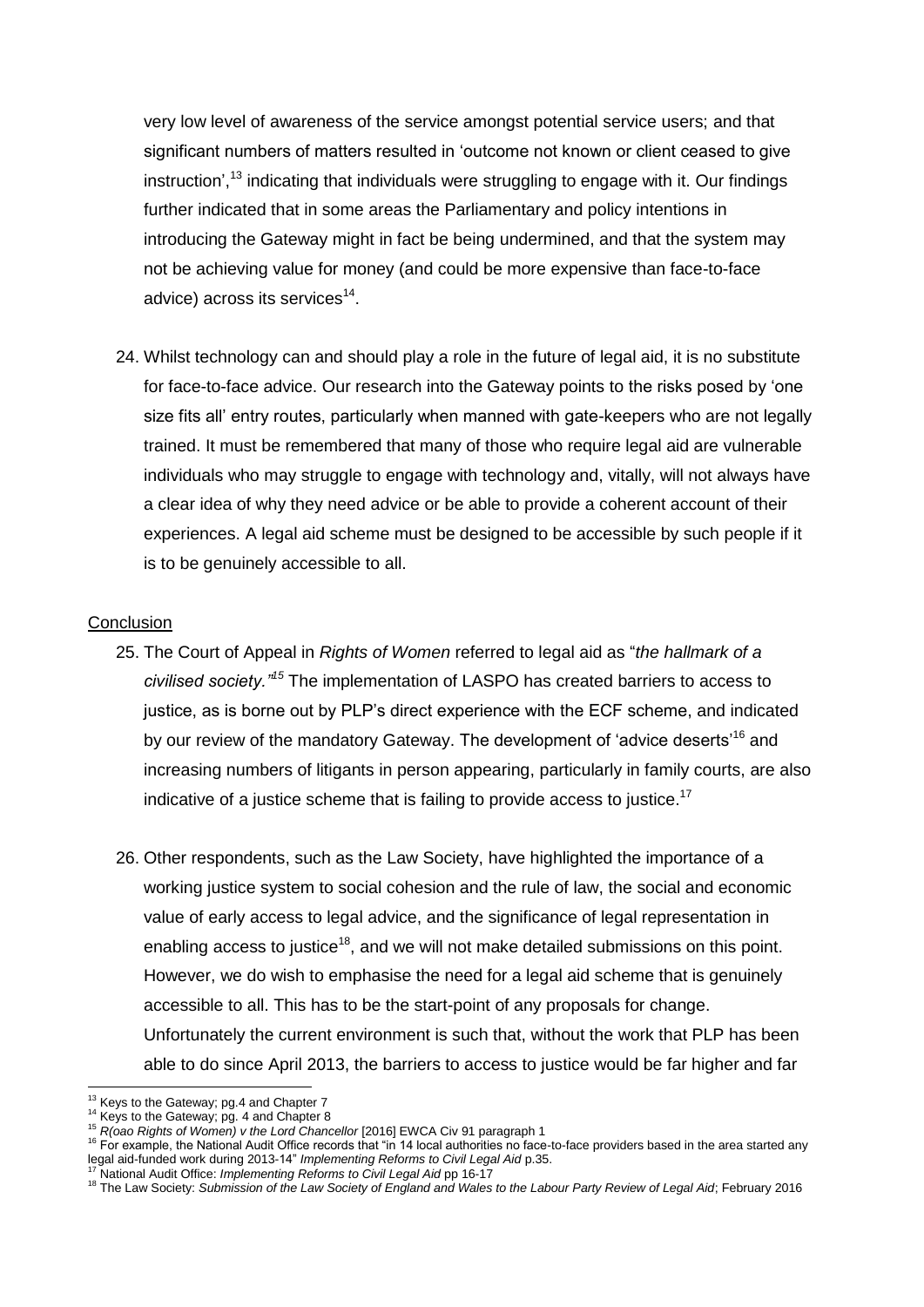very low level of awareness of the service amongst potential service users; and that significant numbers of matters resulted in 'outcome not known or client ceased to give instruction',<sup>13</sup> indicating that individuals were struggling to engage with it. Our findings further indicated that in some areas the Parliamentary and policy intentions in introducing the Gateway might in fact be being undermined, and that the system may not be achieving value for money (and could be more expensive than face-to-face advice) across its services $^{14}$ .

24. Whilst technology can and should play a role in the future of legal aid, it is no substitute for face-to-face advice. Our research into the Gateway points to the risks posed by 'one size fits all' entry routes, particularly when manned with gate-keepers who are not legally trained. It must be remembered that many of those who require legal aid are vulnerable individuals who may struggle to engage with technology and, vitally, will not always have a clear idea of why they need advice or be able to provide a coherent account of their experiences. A legal aid scheme must be designed to be accessible by such people if it is to be genuinely accessible to all.

#### **Conclusion**

- 25. The Court of Appeal in *Rights of Women* referred to legal aid as "*the hallmark of a civilised society."<sup>15</sup>* The implementation of LASPO has created barriers to access to justice, as is borne out by PLP's direct experience with the ECF scheme, and indicated by our review of the mandatory Gateway. The development of 'advice deserts'<sup>16</sup> and increasing numbers of litigants in person appearing, particularly in family courts, are also indicative of a justice scheme that is failing to provide access to justice.<sup>17</sup>
- 26. Other respondents, such as the Law Society, have highlighted the importance of a working justice system to social cohesion and the rule of law, the social and economic value of early access to legal advice, and the significance of legal representation in enabling access to justice<sup>18</sup>, and we will not make detailed submissions on this point. However, we do wish to emphasise the need for a legal aid scheme that is genuinely accessible to all. This has to be the start-point of any proposals for change. Unfortunately the current environment is such that, without the work that PLP has been able to do since April 2013, the barriers to access to justice would be far higher and far

 $\overline{a}$ 

 $13$  Keys to the Gateway; pg.4 and Chapter 7

<sup>&</sup>lt;sup>14</sup> Keys to the Gateway; pg. 4 and Chapter 8

<sup>15</sup> *R(oao Rights of Women) v the Lord Chancellor* [2016] EWCA Civ 91 paragraph 1

<sup>&</sup>lt;sup>16</sup> For example, the National Audit Office records that "in 14 local authorities no face-to-face providers based in the area started any legal aid-funded work during 2013-14" *Implementing Reforms to Civil Legal Aid* p.35.

<sup>17</sup> National Audit Office: *Implementing Reforms to Civil Legal Aid* pp 16-17

<sup>18</sup> The Law Society: *Submission of the Law Society of England and Wales to the Labour Party Review of Legal Aid*; February 2016